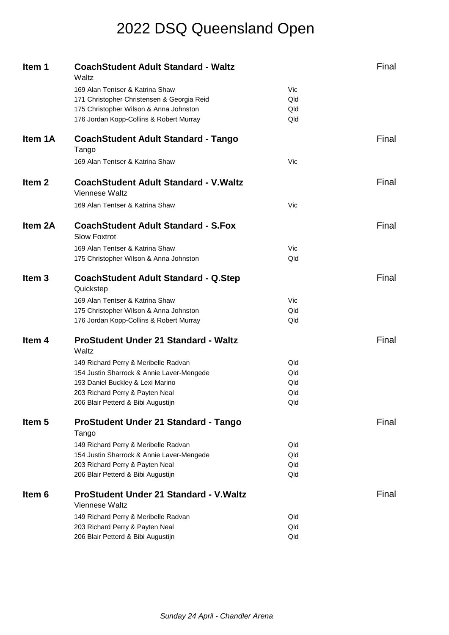| Item 1            | <b>CoachStudent Adult Standard - Waltz</b><br>Waltz               |     | Final |
|-------------------|-------------------------------------------------------------------|-----|-------|
|                   | 169 Alan Tentser & Katrina Shaw                                   | Vic |       |
|                   | 171 Christopher Christensen & Georgia Reid                        | Qld |       |
|                   | 175 Christopher Wilson & Anna Johnston                            | Qld |       |
|                   | 176 Jordan Kopp-Collins & Robert Murray                           | Qld |       |
| Item 1A           | <b>CoachStudent Adult Standard - Tango</b><br>Tango               |     | Final |
|                   | 169 Alan Tentser & Katrina Shaw                                   | Vic |       |
| Item <sub>2</sub> | <b>CoachStudent Adult Standard - V. Waltz</b><br>Viennese Waltz   |     | Final |
|                   | 169 Alan Tentser & Katrina Shaw                                   | Vic |       |
| Item 2A           | <b>CoachStudent Adult Standard - S.Fox</b><br><b>Slow Foxtrot</b> |     | Final |
|                   | 169 Alan Tentser & Katrina Shaw                                   | Vic |       |
|                   | 175 Christopher Wilson & Anna Johnston                            | Qld |       |
| Item <sub>3</sub> | <b>CoachStudent Adult Standard - Q.Step</b><br>Quickstep          |     | Final |
|                   | 169 Alan Tentser & Katrina Shaw                                   | Vic |       |
|                   | 175 Christopher Wilson & Anna Johnston                            | Qld |       |
|                   | 176 Jordan Kopp-Collins & Robert Murray                           | Qld |       |
| Item <sub>4</sub> | <b>ProStudent Under 21 Standard - Waltz</b><br>Waltz              |     | Final |
|                   | 149 Richard Perry & Meribelle Radvan                              | Qld |       |
|                   | 154 Justin Sharrock & Annie Laver-Mengede                         | Qld |       |
|                   | 193 Daniel Buckley & Lexi Marino                                  | Qld |       |
|                   | 203 Richard Perry & Payten Neal                                   | Qld |       |
|                   | 206 Blair Petterd & Bibi Augustijn                                | Qld |       |
| Item <sub>5</sub> | ProStudent Under 21 Standard - Tango<br>Tango                     |     | Final |
|                   | 149 Richard Perry & Meribelle Radvan                              | Qld |       |
|                   | 154 Justin Sharrock & Annie Laver-Mengede                         | Qld |       |
|                   | 203 Richard Perry & Payten Neal                                   | Qld |       |
|                   | 206 Blair Petterd & Bibi Augustijn                                | Qld |       |
| Item <sub>6</sub> | <b>ProStudent Under 21 Standard - V. Waltz</b><br>Viennese Waltz  |     | Final |
|                   | 149 Richard Perry & Meribelle Radvan                              | Qld |       |
|                   | 203 Richard Perry & Payten Neal                                   | Qld |       |
|                   | 206 Blair Petterd & Bibi Augustijn                                | Qld |       |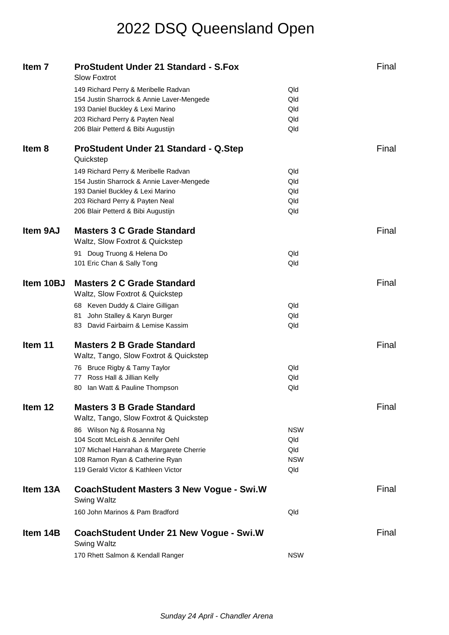| Item 7            | <b>ProStudent Under 21 Standard - S.Fox</b><br><b>Slow Foxtrot</b>          |            | Final |
|-------------------|-----------------------------------------------------------------------------|------------|-------|
|                   | 149 Richard Perry & Meribelle Radvan                                        | Qld        |       |
|                   | 154 Justin Sharrock & Annie Laver-Mengede                                   | Qld        |       |
|                   | 193 Daniel Buckley & Lexi Marino                                            | Qld        |       |
|                   | 203 Richard Perry & Payten Neal                                             | Qld        |       |
|                   | 206 Blair Petterd & Bibi Augustijn                                          | Qld        |       |
| Item <sub>8</sub> | <b>ProStudent Under 21 Standard - Q.Step</b><br>Quickstep                   |            | Final |
|                   | 149 Richard Perry & Meribelle Radvan                                        | Qld        |       |
|                   | 154 Justin Sharrock & Annie Laver-Mengede                                   | Qld        |       |
|                   | 193 Daniel Buckley & Lexi Marino                                            | Qld        |       |
|                   | 203 Richard Perry & Payten Neal                                             | Qld        |       |
|                   | 206 Blair Petterd & Bibi Augustijn                                          | Qld        |       |
| <b>Item 9AJ</b>   | <b>Masters 3 C Grade Standard</b><br>Waltz, Slow Foxtrot & Quickstep        |            | Final |
|                   | 91 Doug Truong & Helena Do                                                  | Qld        |       |
|                   | 101 Eric Chan & Sally Tong                                                  | Qld        |       |
| Item 10BJ         | <b>Masters 2 C Grade Standard</b>                                           |            | Final |
|                   | Waltz, Slow Foxtrot & Quickstep                                             |            |       |
|                   | 68 Keven Duddy & Claire Gilligan                                            | Qld        |       |
|                   | John Stalley & Karyn Burger<br>81.                                          | Qld        |       |
|                   | 83 David Fairbairn & Lemise Kassim                                          | Qld        |       |
| Item 11           | <b>Masters 2 B Grade Standard</b>                                           |            | Final |
|                   | Waltz, Tango, Slow Foxtrot & Quickstep                                      |            |       |
|                   | 76 Bruce Rigby & Tamy Taylor                                                | Qld        |       |
|                   | Ross Hall & Jillian Kelly<br>77                                             | Qld        |       |
|                   | 80 Ian Watt & Pauline Thompson                                              | Qld        |       |
| Item 12           | <b>Masters 3 B Grade Standard</b><br>Waltz, Tango, Slow Foxtrot & Quickstep |            | Final |
|                   | 86 Wilson Ng & Rosanna Ng                                                   | <b>NSW</b> |       |
|                   | 104 Scott McLeish & Jennifer Oehl                                           | Qld        |       |
|                   | 107 Michael Hanrahan & Margarete Cherrie                                    | Qld        |       |
|                   | 108 Ramon Ryan & Catherine Ryan                                             | <b>NSW</b> |       |
|                   | 119 Gerald Victor & Kathleen Victor                                         | Qld        |       |
| Item 13A          | <b>CoachStudent Masters 3 New Vogue - Swi.W</b><br><b>Swing Waltz</b>       |            | Final |
|                   | 160 John Marinos & Pam Bradford                                             | Qld        |       |
| Item 14B          | CoachStudent Under 21 New Vogue - Swi.W<br><b>Swing Waltz</b>               |            | Final |
|                   | 170 Rhett Salmon & Kendall Ranger                                           | <b>NSW</b> |       |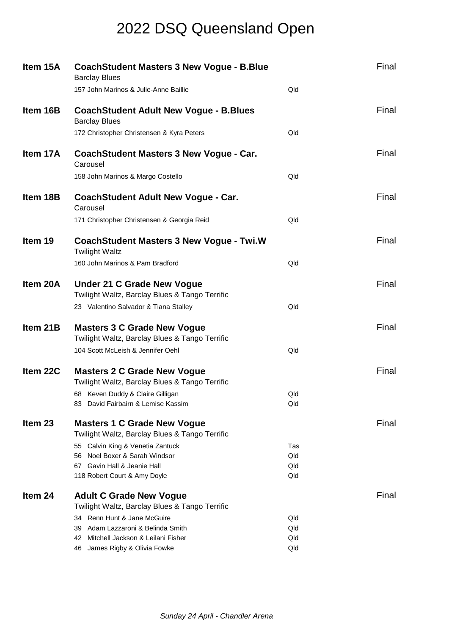| Item 15A           | <b>CoachStudent Masters 3 New Vogue - B.Blue</b><br><b>Barclay Blues</b>             |            | Final |
|--------------------|--------------------------------------------------------------------------------------|------------|-------|
|                    | 157 John Marinos & Julie-Anne Baillie                                                | Qld        |       |
| Item 16B           | <b>CoachStudent Adult New Vogue - B.Blues</b><br><b>Barclay Blues</b>                |            | Final |
|                    | 172 Christopher Christensen & Kyra Peters                                            | Qld        |       |
| Item 17A           | CoachStudent Masters 3 New Vogue - Car.<br>Carousel                                  |            | Final |
|                    | 158 John Marinos & Margo Costello                                                    | Qld        |       |
| Item 18B           | <b>CoachStudent Adult New Vogue - Car.</b><br>Carousel                               |            | Final |
|                    | 171 Christopher Christensen & Georgia Reid                                           | Qld        |       |
| Item 19            | <b>CoachStudent Masters 3 New Vogue - Twi.W</b><br><b>Twilight Waltz</b>             |            | Final |
|                    | 160 John Marinos & Pam Bradford                                                      | Qld        |       |
| Item 20A           | <b>Under 21 C Grade New Vogue</b><br>Twilight Waltz, Barclay Blues & Tango Terrific  |            | Final |
|                    | 23 Valentino Salvador & Tiana Stalley                                                | Qld        |       |
| Item 21B           | <b>Masters 3 C Grade New Vogue</b><br>Twilight Waltz, Barclay Blues & Tango Terrific |            | Final |
|                    | 104 Scott McLeish & Jennifer Oehl                                                    | Qld        |       |
| Item 22C           | <b>Masters 2 C Grade New Vogue</b><br>Twilight Waltz, Barclay Blues & Tango Terrific |            | Final |
|                    | 68 Keven Duddy & Claire Gilligan<br>83 David Fairbairn & Lemise Kassim               | Qld<br>Qld |       |
| Item <sub>23</sub> | <b>Masters 1 C Grade New Vogue</b><br>Twilight Waltz, Barclay Blues & Tango Terrific |            | Final |
|                    | 55 Calvin King & Venetia Zantuck                                                     | Tas        |       |
|                    | Noel Boxer & Sarah Windsor<br>56.<br>Gavin Hall & Jeanie Hall<br>67.                 | Qld<br>Qld |       |
|                    | 118 Robert Court & Amy Doyle                                                         | Qld        |       |
| Item 24            | <b>Adult C Grade New Vogue</b>                                                       |            | Final |
|                    | Twilight Waltz, Barclay Blues & Tango Terrific                                       |            |       |
|                    | 34 Renn Hunt & Jane McGuire                                                          | Qld        |       |
|                    | 39 Adam Lazzaroni & Belinda Smith                                                    | Qld        |       |
|                    | Mitchell Jackson & Leilani Fisher<br>42                                              | Qld<br>Qld |       |
|                    | 46 James Rigby & Olivia Fowke                                                        |            |       |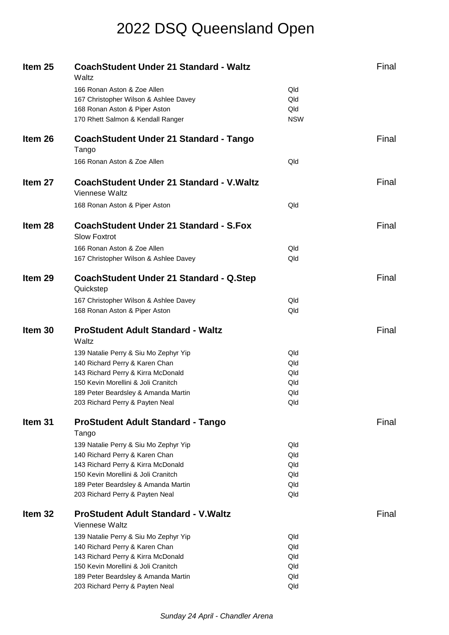| Item 25            | <b>CoachStudent Under 21 Standard - Waltz</b><br>Waltz                 |            | Final |
|--------------------|------------------------------------------------------------------------|------------|-------|
|                    | 166 Ronan Aston & Zoe Allen                                            | Qld        |       |
|                    | 167 Christopher Wilson & Ashlee Davey                                  | Qld        |       |
|                    | 168 Ronan Aston & Piper Aston                                          | Qld        |       |
|                    | 170 Rhett Salmon & Kendall Ranger                                      | <b>NSW</b> |       |
| Item 26            | <b>CoachStudent Under 21 Standard - Tango</b><br>Tango                 |            | Final |
|                    | 166 Ronan Aston & Zoe Allen                                            | Qld        |       |
| Item <sub>27</sub> | <b>CoachStudent Under 21 Standard - V. Waltz</b><br>Viennese Waltz     |            | Final |
|                    | 168 Ronan Aston & Piper Aston                                          | Qld        |       |
| Item 28            | <b>CoachStudent Under 21 Standard - S.Fox</b><br><b>Slow Foxtrot</b>   |            | Final |
|                    | 166 Ronan Aston & Zoe Allen                                            | Qld        |       |
|                    | 167 Christopher Wilson & Ashlee Davey                                  | Qld        |       |
| Item <sub>29</sub> | CoachStudent Under 21 Standard - Q.Step<br>Quickstep                   |            | Final |
|                    | 167 Christopher Wilson & Ashlee Davey                                  | Qld        |       |
|                    | 168 Ronan Aston & Piper Aston                                          | Qld        |       |
| Item 30            | <b>ProStudent Adult Standard - Waltz</b><br>Waltz                      |            | Final |
|                    | 139 Natalie Perry & Siu Mo Zephyr Yip                                  | Qld        |       |
|                    | 140 Richard Perry & Karen Chan                                         | Qld        |       |
|                    | 143 Richard Perry & Kirra McDonald                                     | Qld        |       |
|                    | 150 Kevin Morellini & Joli Cranitch                                    | Qld        |       |
|                    | 189 Peter Beardsley & Amanda Martin                                    | Qld        |       |
|                    | 203 Richard Perry & Payten Neal                                        | Qld        |       |
| Item 31            | <b>ProStudent Adult Standard - Tango</b><br>Tango                      |            | Final |
|                    | 139 Natalie Perry & Siu Mo Zephyr Yip                                  | Qld        |       |
|                    | 140 Richard Perry & Karen Chan                                         | Qld        |       |
|                    | 143 Richard Perry & Kirra McDonald                                     | Qld        |       |
|                    | 150 Kevin Morellini & Joli Cranitch                                    | Qld        |       |
|                    | 189 Peter Beardsley & Amanda Martin<br>203 Richard Perry & Payten Neal | Qld<br>Qld |       |
| Item <sub>32</sub> | <b>ProStudent Adult Standard - V. Waltz</b>                            |            | Final |
|                    | Viennese Waltz                                                         |            |       |
|                    | 139 Natalie Perry & Siu Mo Zephyr Yip                                  | Qld        |       |
|                    | 140 Richard Perry & Karen Chan                                         | Qld        |       |
|                    | 143 Richard Perry & Kirra McDonald                                     | Qld        |       |
|                    |                                                                        |            |       |
|                    | 150 Kevin Morellini & Joli Cranitch                                    | Qld        |       |
|                    | 189 Peter Beardsley & Amanda Martin<br>203 Richard Perry & Payten Neal | Qld<br>Qld |       |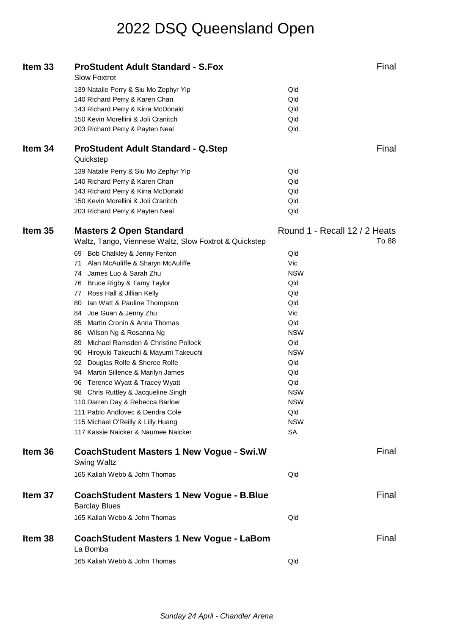| Item <sub>33</sub> | <b>ProStudent Adult Standard - S.Fox</b><br><b>Slow Foxtrot</b>          |                               | Final |
|--------------------|--------------------------------------------------------------------------|-------------------------------|-------|
|                    | 139 Natalie Perry & Siu Mo Zephyr Yip                                    | Qld                           |       |
|                    | 140 Richard Perry & Karen Chan                                           | Qld                           |       |
|                    | 143 Richard Perry & Kirra McDonald                                       | Qld                           |       |
|                    | 150 Kevin Morellini & Joli Cranitch                                      | Qld                           |       |
|                    | 203 Richard Perry & Payten Neal                                          | Qld                           |       |
|                    |                                                                          |                               |       |
| Item 34            | <b>ProStudent Adult Standard - Q.Step</b><br>Quickstep                   |                               | Final |
|                    | 139 Natalie Perry & Siu Mo Zephyr Yip                                    | Qld                           |       |
|                    | 140 Richard Perry & Karen Chan                                           | Qld                           |       |
|                    | 143 Richard Perry & Kirra McDonald                                       | Qld                           |       |
|                    | 150 Kevin Morellini & Joli Cranitch                                      | Qld                           |       |
|                    | 203 Richard Perry & Payten Neal                                          | Qld                           |       |
| Item 35            | <b>Masters 2 Open Standard</b>                                           | Round 1 - Recall 12 / 2 Heats |       |
|                    | Waltz, Tango, Viennese Waltz, Slow Foxtrot & Quickstep                   |                               | To 88 |
|                    | 69 Bob Chalkley & Jenny Fenton                                           | Qld                           |       |
|                    | Alan McAuliffe & Sharyn McAuliffe<br>71                                  | Vic                           |       |
|                    | James Luo & Sarah Zhu<br>74                                              | <b>NSW</b>                    |       |
|                    | 76 Bruce Rigby & Tamy Taylor                                             | Qld                           |       |
|                    | 77 Ross Hall & Jillian Kelly                                             | Qld                           |       |
|                    | 80 Ian Watt & Pauline Thompson                                           | Qld                           |       |
|                    | 84 Joe Guan & Jenny Zhu                                                  | Vic                           |       |
|                    | 85 Martin Cronin & Anna Thomas                                           | Qld                           |       |
|                    | 86 Wilson Ng & Rosanna Ng                                                | <b>NSW</b>                    |       |
|                    | 89 Michael Ramsden & Christine Pollock                                   | Qld                           |       |
|                    | 90 Hiroyuki Takeuchi & Mayumi Takeuchi                                   | <b>NSW</b>                    |       |
|                    | 92 Douglas Rolfe & Sheree Rolfe                                          | Qld                           |       |
|                    | Martin Sillence & Marilyn James<br>94                                    | Qld                           |       |
|                    | Terence Wyatt & Tracey Wyatt<br>96                                       | Qld                           |       |
|                    | 98 Chris Ruttley & Jacqueline Singh                                      | <b>NSW</b>                    |       |
|                    | 110 Darren Day & Rebecca Barlow                                          | <b>NSW</b>                    |       |
|                    | 111 Pablo Andlovec & Dendra Cole                                         | Qld                           |       |
|                    | 115 Michael O'Reilly & Lilly Huang                                       | <b>NSW</b>                    |       |
|                    | 117 Kassie Naicker & Naumee Naicker                                      | <b>SA</b>                     |       |
| Item 36            | <b>CoachStudent Masters 1 New Vogue - Swi.W</b><br>Swing Waltz           |                               | Final |
|                    | 165 Kaliah Webb & John Thomas                                            | Qld                           |       |
| Item 37            | <b>CoachStudent Masters 1 New Vogue - B.Blue</b><br><b>Barclay Blues</b> |                               | Final |
|                    | 165 Kaliah Webb & John Thomas                                            | Qld                           |       |
| Item 38            | <b>CoachStudent Masters 1 New Vogue - LaBom</b><br>La Bomba              |                               | Final |
|                    | 165 Kaliah Webb & John Thomas                                            | Qld                           |       |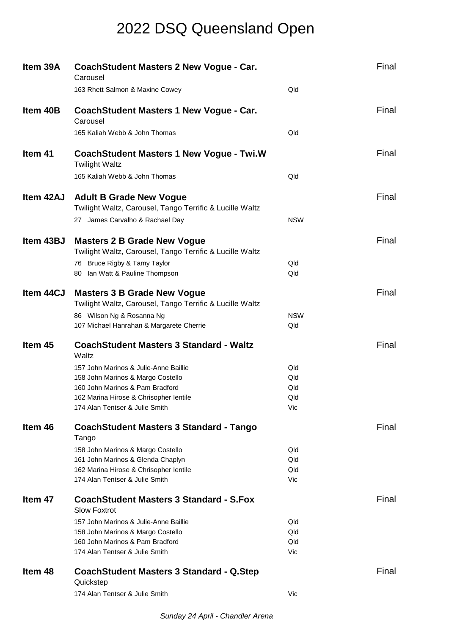| Item 39A  | <b>CoachStudent Masters 2 New Vogue - Car.</b><br>Carousel                                     |            | Final |
|-----------|------------------------------------------------------------------------------------------------|------------|-------|
|           | 163 Rhett Salmon & Maxine Cowey                                                                | Qld        |       |
| Item 40B  | <b>CoachStudent Masters 1 New Vogue - Car.</b><br>Carousel                                     |            | Final |
|           | 165 Kaliah Webb & John Thomas                                                                  | Qld        |       |
| Item 41   | <b>CoachStudent Masters 1 New Vogue - Twi.W</b><br><b>Twilight Waltz</b>                       |            | Final |
|           | 165 Kaliah Webb & John Thomas                                                                  | Qld        |       |
| Item 42AJ | <b>Adult B Grade New Vogue</b><br>Twilight Waltz, Carousel, Tango Terrific & Lucille Waltz     |            | Final |
|           | 27 James Carvalho & Rachael Day                                                                | <b>NSW</b> |       |
| Item 43BJ | <b>Masters 2 B Grade New Vogue</b><br>Twilight Waltz, Carousel, Tango Terrific & Lucille Waltz |            | Final |
|           | 76 Bruce Rigby & Tamy Taylor<br>80 Ian Watt & Pauline Thompson                                 | Qld<br>Qld |       |
|           |                                                                                                |            |       |
| Item 44CJ | <b>Masters 3 B Grade New Vogue</b><br>Twilight Waltz, Carousel, Tango Terrific & Lucille Waltz |            | Final |
|           | 86 Wilson Ng & Rosanna Ng                                                                      | <b>NSW</b> |       |
|           | 107 Michael Hanrahan & Margarete Cherrie                                                       | Qld        |       |
|           |                                                                                                |            |       |
| Item 45   | <b>CoachStudent Masters 3 Standard - Waltz</b><br>Waltz                                        |            | Final |
|           | 157 John Marinos & Julie-Anne Baillie                                                          | Qld        |       |
|           | 158 John Marinos & Margo Costello                                                              | Qld        |       |
|           | 160 John Marinos & Pam Bradford<br>162 Marina Hirose & Chrisopher lentile                      | Qld<br>Qld |       |
|           | 174 Alan Tentser & Julie Smith                                                                 | Vic        |       |
| Item 46   | <b>CoachStudent Masters 3 Standard - Tango</b><br>Tango                                        |            | Final |
|           | 158 John Marinos & Margo Costello                                                              | Qld        |       |
|           | 161 John Marinos & Glenda Chaplyn                                                              | Qld        |       |
|           | 162 Marina Hirose & Chrisopher lentile<br>174 Alan Tentser & Julie Smith                       | Qld<br>Vic |       |
| Item 47   | <b>CoachStudent Masters 3 Standard - S.Fox</b><br><b>Slow Foxtrot</b>                          |            | Final |
|           | 157 John Marinos & Julie-Anne Baillie                                                          | Qld        |       |
|           | 158 John Marinos & Margo Costello                                                              | Qld        |       |
|           | 160 John Marinos & Pam Bradford                                                                | Qld        |       |
|           | 174 Alan Tentser & Julie Smith                                                                 | Vic        |       |
| Item 48   | <b>CoachStudent Masters 3 Standard - Q.Step</b><br>Quickstep<br>174 Alan Tentser & Julie Smith | Vic        | Final |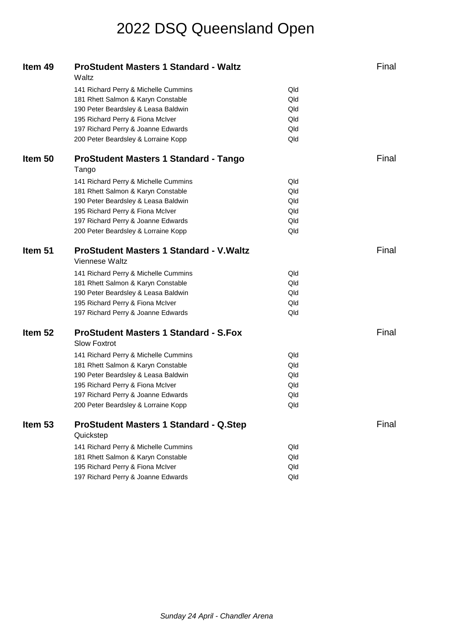| Item 49 | <b>ProStudent Masters 1 Standard - Waltz</b><br>Waltz               |     | Final |
|---------|---------------------------------------------------------------------|-----|-------|
|         | 141 Richard Perry & Michelle Cummins                                | Qld |       |
|         | 181 Rhett Salmon & Karyn Constable                                  | Qld |       |
|         | 190 Peter Beardsley & Leasa Baldwin                                 | Qld |       |
|         | 195 Richard Perry & Fiona McIver                                    | Qld |       |
|         | 197 Richard Perry & Joanne Edwards                                  | Qld |       |
|         | 200 Peter Beardsley & Lorraine Kopp                                 | Qld |       |
| Item 50 | <b>ProStudent Masters 1 Standard - Tango</b>                        |     | Final |
|         | Tango                                                               |     |       |
|         | 141 Richard Perry & Michelle Cummins                                | Qld |       |
|         | 181 Rhett Salmon & Karyn Constable                                  | Qld |       |
|         | 190 Peter Beardsley & Leasa Baldwin                                 | Qld |       |
|         | 195 Richard Perry & Fiona McIver                                    | Qld |       |
|         | 197 Richard Perry & Joanne Edwards                                  | Qld |       |
|         | 200 Peter Beardsley & Lorraine Kopp                                 | Qld |       |
| Item 51 | <b>ProStudent Masters 1 Standard - V. Waltz</b>                     |     | Final |
|         | Viennese Waltz                                                      |     |       |
|         | 141 Richard Perry & Michelle Cummins                                | Qld |       |
|         | 181 Rhett Salmon & Karyn Constable                                  | Qld |       |
|         | 190 Peter Beardsley & Leasa Baldwin                                 | Qld |       |
|         | 195 Richard Perry & Fiona McIver                                    | Qld |       |
|         | 197 Richard Perry & Joanne Edwards                                  | Qld |       |
| Item 52 | <b>ProStudent Masters 1 Standard - S.Fox</b><br><b>Slow Foxtrot</b> |     | Final |
|         | 141 Richard Perry & Michelle Cummins                                | Qld |       |
|         | 181 Rhett Salmon & Karyn Constable                                  | Qld |       |
|         | 190 Peter Beardsley & Leasa Baldwin                                 | Qld |       |
|         | 195 Richard Perry & Fiona McIver                                    | Qld |       |
|         | 197 Richard Perry & Joanne Edwards                                  | Qld |       |
|         | 200 Peter Beardsley & Lorraine Kopp                                 | Qld |       |
| Item 53 | <b>ProStudent Masters 1 Standard - Q.Step</b>                       |     | Final |
|         | Quickstep                                                           |     |       |
|         | 141 Richard Perry & Michelle Cummins                                | Qld |       |
|         | 181 Rhett Salmon & Karyn Constable                                  | Qld |       |
|         | 195 Richard Perry & Fiona McIver                                    | Qld |       |
|         | 197 Richard Perry & Joanne Edwards                                  | Qld |       |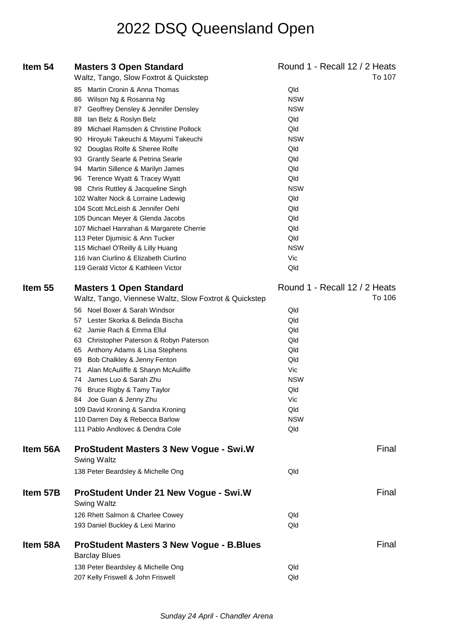| Item 54  | <b>Masters 3 Open Standard</b>                         | Round 1 - Recall 12 / 2 Heats |
|----------|--------------------------------------------------------|-------------------------------|
|          | Waltz, Tango, Slow Foxtrot & Quickstep                 | To 107                        |
|          | 85 Martin Cronin & Anna Thomas                         | Qld                           |
|          | Wilson Ng & Rosanna Ng<br>86                           | <b>NSW</b>                    |
|          | 87 Geoffrey Densley & Jennifer Densley                 | <b>NSW</b>                    |
|          | 88 Ian Belz & Roslyn Belz                              | Qld                           |
|          | 89 Michael Ramsden & Christine Pollock                 | Qld                           |
|          | 90 Hiroyuki Takeuchi & Mayumi Takeuchi                 | <b>NSW</b>                    |
|          | 92 Douglas Rolfe & Sheree Rolfe                        | Qld                           |
|          | 93 Grantly Searle & Petrina Searle                     | Qld                           |
|          | 94 Martin Sillence & Marilyn James                     | Qld                           |
|          | 96 Terence Wyatt & Tracey Wyatt                        | Qld                           |
|          | 98 Chris Ruttley & Jacqueline Singh                    | <b>NSW</b>                    |
|          | 102 Walter Nock & Lorraine Ladewig                     | Qld                           |
|          | 104 Scott McLeish & Jennifer Oehl                      | Qld                           |
|          | 105 Duncan Meyer & Glenda Jacobs                       | Qld                           |
|          | 107 Michael Hanrahan & Margarete Cherrie               | Qld                           |
|          | 113 Peter Djumisic & Ann Tucker                        | Qld                           |
|          | 115 Michael O'Reilly & Lilly Huang                     | <b>NSW</b>                    |
|          | 116 Ivan Ciurlino & Elizabeth Ciurlino                 | Vic                           |
|          | 119 Gerald Victor & Kathleen Victor                    | Qld                           |
| Item 55  | <b>Masters 1 Open Standard</b>                         | Round 1 - Recall 12 / 2 Heats |
|          | Waltz, Tango, Viennese Waltz, Slow Foxtrot & Quickstep | To 106                        |
|          | 56 Noel Boxer & Sarah Windsor                          | Qld                           |
|          | 57 Lester Skorka & Belinda Bischa                      | Qld                           |
|          | 62 Jamie Rach & Emma Ellul                             | Qld                           |
|          | 63 Christopher Paterson & Robyn Paterson               | Qld                           |
|          | 65 Anthony Adams & Lisa Stephens                       | Qld                           |
|          | 69 Bob Chalkley & Jenny Fenton                         | Qld                           |
|          | 71 Alan McAuliffe & Sharyn McAuliffe                   | Vic                           |
|          | 74 James Luo & Sarah Zhu                               | <b>NSW</b>                    |
|          | 76 Bruce Rigby & Tamy Taylor                           | Qld                           |
|          | 84 Joe Guan & Jenny Zhu                                | Vic                           |
|          | 109 David Kroning & Sandra Kroning                     | Qld                           |
|          | 110 Darren Day & Rebecca Barlow                        | <b>NSW</b>                    |
|          | 111 Pablo Andlovec & Dendra Cole                       | Qld                           |
|          |                                                        |                               |
| Item 56A | <b>ProStudent Masters 3 New Vogue - Swi.W</b>          | Final                         |
|          | <b>Swing Waltz</b>                                     |                               |
|          | 138 Peter Beardsley & Michelle Ong                     | Qld                           |
| Item 57B | <b>ProStudent Under 21 New Vogue - Swi.W</b>           | Final                         |
|          | Swing Waltz                                            |                               |
|          | 126 Rhett Salmon & Charlee Cowey                       | Qld                           |
|          | 193 Daniel Buckley & Lexi Marino                       | Qld                           |
| Item 58A | <b>ProStudent Masters 3 New Vogue - B.Blues</b>        | Final                         |
|          | <b>Barclay Blues</b>                                   |                               |
|          | 138 Peter Beardsley & Michelle Ong                     | Qld                           |
|          | 207 Kelly Friswell & John Friswell                     | Qld                           |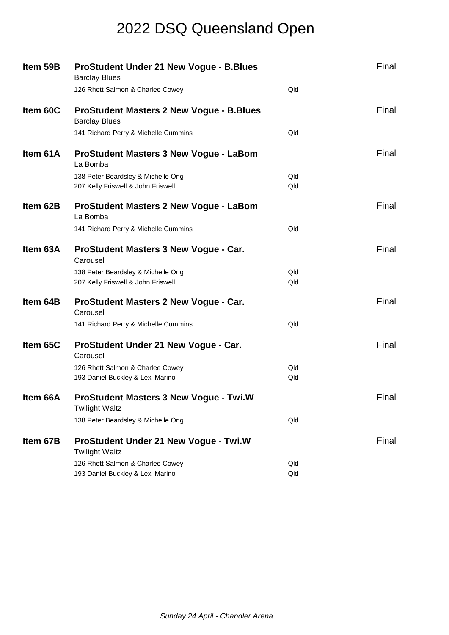| Item 59B | <b>ProStudent Under 21 New Vogue - B.Blues</b><br><b>Barclay Blues</b>  |     | Final |
|----------|-------------------------------------------------------------------------|-----|-------|
|          | 126 Rhett Salmon & Charlee Cowey                                        | Qld |       |
| Item 60C | <b>ProStudent Masters 2 New Vogue - B.Blues</b><br><b>Barclay Blues</b> |     | Final |
|          | 141 Richard Perry & Michelle Cummins                                    | Qld |       |
| Item 61A | <b>ProStudent Masters 3 New Vogue - LaBom</b><br>La Bomba               |     | Final |
|          | 138 Peter Beardsley & Michelle Ong                                      | Qld |       |
|          | 207 Kelly Friswell & John Friswell                                      | Qld |       |
| Item 62B | <b>ProStudent Masters 2 New Vogue - LaBom</b><br>La Bomba               |     | Final |
|          | 141 Richard Perry & Michelle Cummins                                    | Qld |       |
| Item 63A | ProStudent Masters 3 New Vogue - Car.<br>Carousel                       |     | Final |
|          | 138 Peter Beardsley & Michelle Ong                                      | Qld |       |
|          | 207 Kelly Friswell & John Friswell                                      | Qld |       |
| Item 64B | ProStudent Masters 2 New Vogue - Car.<br>Carousel                       |     | Final |
|          | 141 Richard Perry & Michelle Cummins                                    | Qld |       |
| Item 65C | ProStudent Under 21 New Vogue - Car.<br>Carousel                        |     | Final |
|          | 126 Rhett Salmon & Charlee Cowey                                        | Qld |       |
|          | 193 Daniel Buckley & Lexi Marino                                        | Qld |       |
| Item 66A | <b>ProStudent Masters 3 New Vogue - Twi.W</b><br><b>Twilight Waltz</b>  |     | Final |
|          | 138 Peter Beardsley & Michelle Ong                                      | Qld |       |
| Item 67B | ProStudent Under 21 New Vogue - Twi.W<br><b>Twilight Waltz</b>          |     | Final |
|          | 126 Rhett Salmon & Charlee Cowey                                        | Qld |       |
|          | 193 Daniel Buckley & Lexi Marino                                        | Qld |       |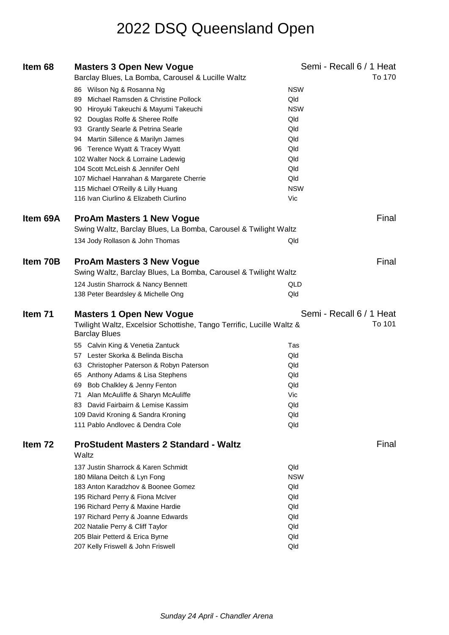| Item 68  | <b>Masters 3 Open New Vogue</b>                                                               | Semi - Recall 6 / 1 Heat |
|----------|-----------------------------------------------------------------------------------------------|--------------------------|
|          | Barclay Blues, La Bomba, Carousel & Lucille Waltz                                             | To 170                   |
|          | 86 Wilson Ng & Rosanna Ng                                                                     | <b>NSW</b>               |
|          | 89 Michael Ramsden & Christine Pollock                                                        | Qld                      |
|          | 90 Hiroyuki Takeuchi & Mayumi Takeuchi                                                        | <b>NSW</b>               |
|          | 92 Douglas Rolfe & Sheree Rolfe                                                               | Qld                      |
|          | 93 Grantly Searle & Petrina Searle                                                            | Qld                      |
|          | 94 Martin Sillence & Marilyn James                                                            | Qld                      |
|          | 96 Terence Wyatt & Tracey Wyatt                                                               | Qld                      |
|          | 102 Walter Nock & Lorraine Ladewig                                                            | Qld                      |
|          | 104 Scott McLeish & Jennifer Oehl                                                             | Qld                      |
|          | 107 Michael Hanrahan & Margarete Cherrie                                                      | Qld                      |
|          | 115 Michael O'Reilly & Lilly Huang                                                            | <b>NSW</b>               |
|          | 116 Ivan Ciurlino & Elizabeth Ciurlino                                                        | Vic                      |
| Item 69A | <b>ProAm Masters 1 New Vogue</b>                                                              | Final                    |
|          | Swing Waltz, Barclay Blues, La Bomba, Carousel & Twilight Waltz                               |                          |
|          | 134 Jody Rollason & John Thomas                                                               | Qld                      |
| Item 70B | <b>ProAm Masters 3 New Vogue</b>                                                              | Final                    |
|          | Swing Waltz, Barclay Blues, La Bomba, Carousel & Twilight Waltz                               |                          |
|          |                                                                                               |                          |
|          | 124 Justin Sharrock & Nancy Bennett                                                           | QLD                      |
|          | 138 Peter Beardsley & Michelle Ong                                                            | Qld                      |
|          |                                                                                               |                          |
| Item 71  | <b>Masters 1 Open New Vogue</b>                                                               | Semi - Recall 6 / 1 Heat |
|          | Twilight Waltz, Excelsior Schottishe, Tango Terrific, Lucille Waltz &<br><b>Barclay Blues</b> | To 101                   |
|          | 55 Calvin King & Venetia Zantuck                                                              | Tas                      |
|          | 57 Lester Skorka & Belinda Bischa                                                             | Qld                      |
|          | 63 Christopher Paterson & Robyn Paterson                                                      | Qld                      |
|          | 65 Anthony Adams & Lisa Stephens                                                              | Qld                      |
|          | 69 Bob Chalkley & Jenny Fenton                                                                | Qld                      |
|          | Alan McAuliffe & Sharyn McAuliffe<br>71                                                       | Vic                      |
|          | 83 David Fairbairn & Lemise Kassim                                                            | Qld                      |
|          | 109 David Kroning & Sandra Kroning                                                            | Qld                      |
|          | 111 Pablo Andlovec & Dendra Cole                                                              | Qld                      |
| Item 72  | <b>ProStudent Masters 2 Standard - Waltz</b>                                                  | Final                    |
|          | Waltz                                                                                         |                          |
|          | 137 Justin Sharrock & Karen Schmidt                                                           | Qld                      |
|          | 180 Milana Deitch & Lyn Fong                                                                  | <b>NSW</b>               |
|          | 183 Anton Karadzhov & Boonee Gomez                                                            | Qld                      |
|          | 195 Richard Perry & Fiona McIver                                                              | Qld                      |
|          | 196 Richard Perry & Maxine Hardie                                                             | Qld                      |
|          | 197 Richard Perry & Joanne Edwards                                                            | Qld                      |
|          | 202 Natalie Perry & Cliff Taylor                                                              | Qld                      |
|          | 205 Blair Petterd & Erica Byrne                                                               | Qld                      |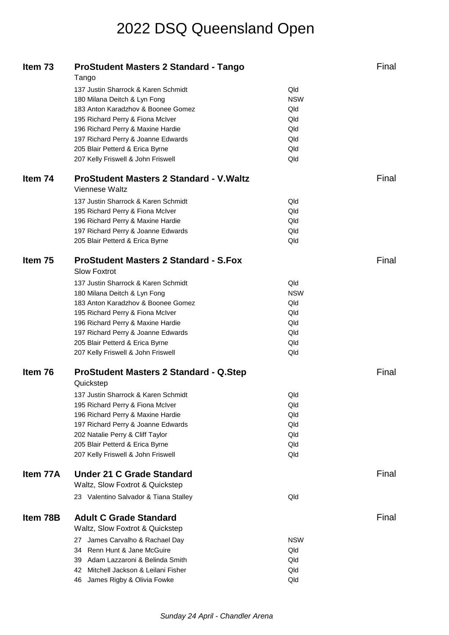| Item 73  | <b>ProStudent Masters 2 Standard - Tango</b><br>Tango                 |            | Final |
|----------|-----------------------------------------------------------------------|------------|-------|
|          | 137 Justin Sharrock & Karen Schmidt                                   | Qld        |       |
|          | 180 Milana Deitch & Lyn Fong                                          | <b>NSW</b> |       |
|          | 183 Anton Karadzhov & Boonee Gomez                                    | Qld        |       |
|          | 195 Richard Perry & Fiona McIver                                      | Qld        |       |
|          | 196 Richard Perry & Maxine Hardie                                     | Qld        |       |
|          | 197 Richard Perry & Joanne Edwards                                    | Qld        |       |
|          |                                                                       | Qld        |       |
|          | 205 Blair Petterd & Erica Byrne<br>207 Kelly Friswell & John Friswell | Qld        |       |
|          |                                                                       |            |       |
| Item 74  | <b>ProStudent Masters 2 Standard - V. Waltz</b>                       |            | Final |
|          | Viennese Waltz                                                        |            |       |
|          | 137 Justin Sharrock & Karen Schmidt                                   | Qld        |       |
|          | 195 Richard Perry & Fiona McIver                                      | Qld        |       |
|          | 196 Richard Perry & Maxine Hardie                                     | Qld        |       |
|          | 197 Richard Perry & Joanne Edwards                                    | Qld        |       |
|          | 205 Blair Petterd & Erica Byrne                                       | Qld        |       |
|          |                                                                       |            |       |
| Item 75  | <b>ProStudent Masters 2 Standard - S.Fox</b><br><b>Slow Foxtrot</b>   |            | Final |
|          | 137 Justin Sharrock & Karen Schmidt                                   | Qld        |       |
|          | 180 Milana Deitch & Lyn Fong                                          | <b>NSW</b> |       |
|          | 183 Anton Karadzhov & Boonee Gomez                                    | Qld        |       |
|          | 195 Richard Perry & Fiona McIver                                      | Qld        |       |
|          | 196 Richard Perry & Maxine Hardie                                     | Qld        |       |
|          | 197 Richard Perry & Joanne Edwards                                    | Qld        |       |
|          | 205 Blair Petterd & Erica Byrne                                       | Qld        |       |
|          | 207 Kelly Friswell & John Friswell                                    | Qld        |       |
|          |                                                                       |            |       |
| Item 76  | <b>ProStudent Masters 2 Standard - Q.Step</b><br>Quickstep            |            | Final |
|          | 137 Justin Sharrock & Karen Schmidt                                   | Qld        |       |
|          | 195 Richard Perry & Fiona McIver                                      | Qld        |       |
|          | 196 Richard Perry & Maxine Hardie                                     | Qld        |       |
|          | 197 Richard Perry & Joanne Edwards                                    | Qld        |       |
|          | 202 Natalie Perry & Cliff Taylor                                      | Qld        |       |
|          | 205 Blair Petterd & Erica Byrne                                       | Qld        |       |
|          | 207 Kelly Friswell & John Friswell                                    | Qld        |       |
|          |                                                                       |            |       |
| Item 77A | <b>Under 21 C Grade Standard</b>                                      |            | Final |
|          | Waltz, Slow Foxtrot & Quickstep                                       |            |       |
|          | 23 Valentino Salvador & Tiana Stalley                                 | Qld        |       |
| Item 78B | <b>Adult C Grade Standard</b>                                         |            | Final |
|          | Waltz, Slow Foxtrot & Quickstep                                       |            |       |
|          |                                                                       |            |       |
|          | 27 James Carvalho & Rachael Day                                       | <b>NSW</b> |       |
|          | 34 Renn Hunt & Jane McGuire                                           | Qld        |       |
|          | 39 Adam Lazzaroni & Belinda Smith                                     | Qld        |       |
|          | Mitchell Jackson & Leilani Fisher<br>42.                              | Qld        |       |
|          | 46 James Rigby & Olivia Fowke                                         | Qld        |       |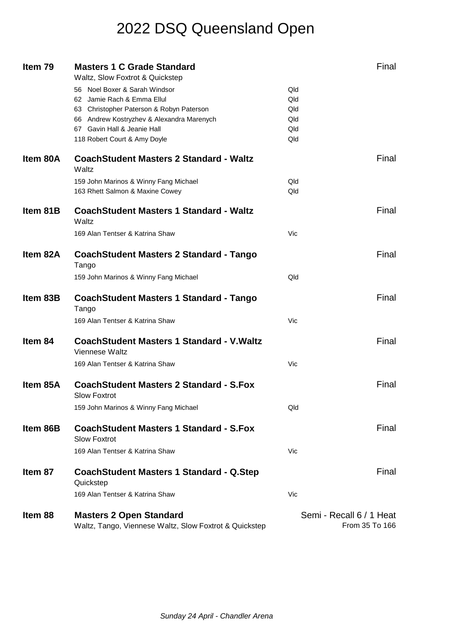| Item 79  | <b>Masters 1 C Grade Standard</b><br>Waltz, Slow Foxtrot & Quickstep                     | Final                                      |
|----------|------------------------------------------------------------------------------------------|--------------------------------------------|
|          | 56 Noel Boxer & Sarah Windsor                                                            | Qld                                        |
|          | 62 Jamie Rach & Emma Ellul                                                               | Qld                                        |
|          | 63 Christopher Paterson & Robyn Paterson                                                 | Qld                                        |
|          | 66 Andrew Kostryzhev & Alexandra Marenych                                                | Qld                                        |
|          | 67 Gavin Hall & Jeanie Hall                                                              | Qld                                        |
|          | 118 Robert Court & Amy Doyle                                                             | Qld                                        |
| Item 80A | <b>CoachStudent Masters 2 Standard - Waltz</b><br>Waltz                                  | Final                                      |
|          | 159 John Marinos & Winny Fang Michael                                                    | Qld                                        |
|          | 163 Rhett Salmon & Maxine Cowey                                                          | Qld                                        |
|          |                                                                                          |                                            |
| Item 81B | <b>CoachStudent Masters 1 Standard - Waltz</b><br>Waltz                                  | Final                                      |
|          | 169 Alan Tentser & Katrina Shaw                                                          | Vic                                        |
| Item 82A | <b>CoachStudent Masters 2 Standard - Tango</b><br>Tango                                  | Final                                      |
|          | 159 John Marinos & Winny Fang Michael                                                    | Qld                                        |
| Item 83B | CoachStudent Masters 1 Standard - Tango<br>Tango                                         | Final                                      |
|          | 169 Alan Tentser & Katrina Shaw                                                          | Vic                                        |
| Item 84  | <b>CoachStudent Masters 1 Standard - V. Waltz</b><br>Viennese Waltz                      | Final                                      |
|          | 169 Alan Tentser & Katrina Shaw                                                          | Vic                                        |
| Item 85A | <b>CoachStudent Masters 2 Standard - S.Fox</b><br><b>Slow Foxtrot</b>                    | Final                                      |
|          | 159 John Marinos & Winny Fang Michael                                                    | Qld                                        |
| Item 86B | <b>CoachStudent Masters 1 Standard - S.Fox</b><br><b>Slow Foxtrot</b>                    | Final                                      |
|          | 169 Alan Tentser & Katrina Shaw                                                          | Vic                                        |
| Item 87  | <b>CoachStudent Masters 1 Standard - Q.Step</b><br>Quickstep                             | Final                                      |
|          | 169 Alan Tentser & Katrina Shaw                                                          | Vic                                        |
| Item 88  | <b>Masters 2 Open Standard</b><br>Waltz, Tango, Viennese Waltz, Slow Foxtrot & Quickstep | Semi - Recall 6 / 1 Heat<br>From 35 To 166 |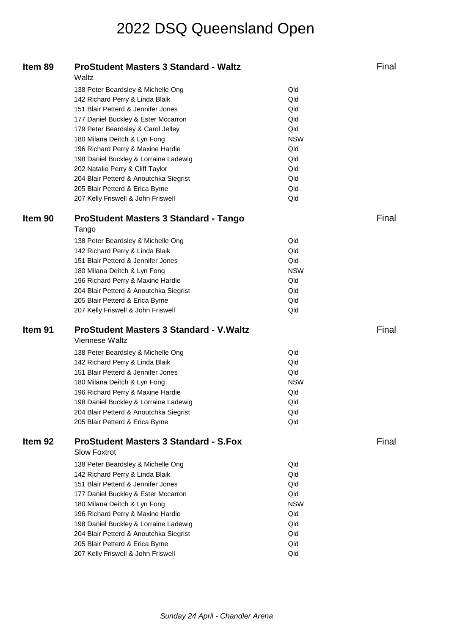| Item 89            | <b>ProStudent Masters 3 Standard - Waltz</b>    |            | Final |
|--------------------|-------------------------------------------------|------------|-------|
|                    | Waltz                                           |            |       |
|                    | 138 Peter Beardsley & Michelle Ong              | Qld        |       |
|                    | 142 Richard Perry & Linda Blaik                 | Qld        |       |
|                    | 151 Blair Petterd & Jennifer Jones              | Qld        |       |
|                    | 177 Daniel Buckley & Ester Mccarron             | Qld        |       |
|                    | 179 Peter Beardsley & Carol Jelley              | Qld        |       |
|                    | 180 Milana Deitch & Lyn Fong                    | <b>NSW</b> |       |
|                    | 196 Richard Perry & Maxine Hardie               | Qld        |       |
|                    | 198 Daniel Buckley & Lorraine Ladewig           | Qld        |       |
|                    | 202 Natalie Perry & Cliff Taylor                | Qld        |       |
|                    | 204 Blair Petterd & Anoutchka Siegrist          | Qld        |       |
|                    | 205 Blair Petterd & Erica Byrne                 | Qld        |       |
|                    | 207 Kelly Friswell & John Friswell              | Qld        |       |
| Item 90            | <b>ProStudent Masters 3 Standard - Tango</b>    |            | Final |
|                    | Tango                                           |            |       |
|                    | 138 Peter Beardsley & Michelle Ong              | Qld        |       |
|                    | 142 Richard Perry & Linda Blaik                 | Qld        |       |
|                    | 151 Blair Petterd & Jennifer Jones              | Qld        |       |
|                    | 180 Milana Deitch & Lyn Fong                    | <b>NSW</b> |       |
|                    | 196 Richard Perry & Maxine Hardie               | Qld        |       |
|                    | 204 Blair Petterd & Anoutchka Siegrist          | Qld        |       |
|                    | 205 Blair Petterd & Erica Byrne                 | Qld        |       |
|                    | 207 Kelly Friswell & John Friswell              | Qld        |       |
|                    |                                                 |            |       |
| Item <sub>91</sub> | <b>ProStudent Masters 3 Standard - V. Waltz</b> |            | Final |
|                    | Viennese Waltz                                  |            |       |
|                    | 138 Peter Beardsley & Michelle Ong              | Qld        |       |
|                    | 142 Richard Perry & Linda Blaik                 | Qld        |       |
|                    | 151 Blair Petterd & Jennifer Jones              | Qld        |       |
|                    | 180 Milana Deitch & Lyn Fong                    | <b>NSW</b> |       |
|                    | 196 Richard Perry & Maxine Hardie               | Qld        |       |
|                    | 198 Daniel Buckley & Lorraine Ladewig           | Qld        |       |
|                    | 204 Blair Petterd & Anoutchka Siegrist          | Qld        |       |
|                    | 205 Blair Petterd & Erica Byrne                 | Qld        |       |
| Item <sub>92</sub> | <b>ProStudent Masters 3 Standard - S.Fox</b>    |            | Final |
|                    | <b>Slow Foxtrot</b>                             |            |       |
|                    | 138 Peter Beardsley & Michelle Ong              | Qld        |       |
|                    | 142 Richard Perry & Linda Blaik                 | Qld        |       |
|                    | 151 Blair Petterd & Jennifer Jones              | Qld        |       |
|                    | 177 Daniel Buckley & Ester Mccarron             | Qld        |       |
|                    | 180 Milana Deitch & Lyn Fong                    | <b>NSW</b> |       |
|                    | 196 Richard Perry & Maxine Hardie               | Qld        |       |
|                    | 198 Daniel Buckley & Lorraine Ladewig           | Qld        |       |
|                    | 204 Blair Petterd & Anoutchka Siegrist          | Qld        |       |
|                    | 205 Blair Petterd & Erica Byrne                 | Qld        |       |
|                    | 207 Kelly Friswell & John Friswell              | Qld        |       |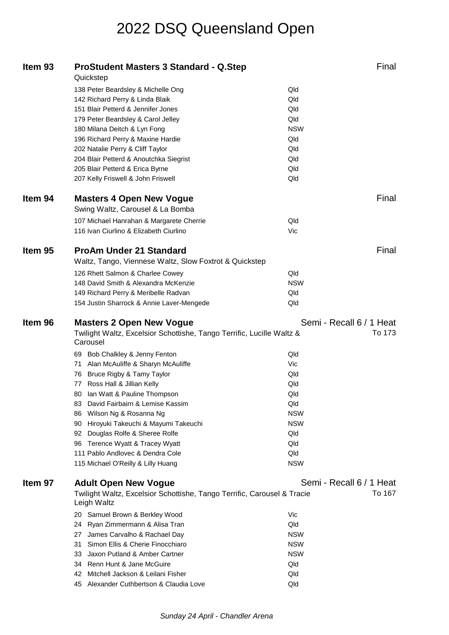| Item 93 | <b>ProStudent Masters 3 Standard - Q.Step</b><br>Quickstep                             | Final                    |
|---------|----------------------------------------------------------------------------------------|--------------------------|
|         | 138 Peter Beardsley & Michelle Ong                                                     | Qld                      |
|         | 142 Richard Perry & Linda Blaik                                                        | Qld                      |
|         | 151 Blair Petterd & Jennifer Jones                                                     | Qld                      |
|         | 179 Peter Beardsley & Carol Jelley                                                     | Qld                      |
|         | 180 Milana Deitch & Lyn Fong                                                           | <b>NSW</b>               |
|         | 196 Richard Perry & Maxine Hardie                                                      | Qld                      |
|         | 202 Natalie Perry & Cliff Taylor                                                       | Qld                      |
|         | 204 Blair Petterd & Anoutchka Siegrist                                                 | Qld                      |
|         | 205 Blair Petterd & Erica Byrne                                                        | Qld                      |
|         | 207 Kelly Friswell & John Friswell                                                     | Qld                      |
| Item 94 | <b>Masters 4 Open New Vogue</b>                                                        | Final                    |
|         | Swing Waltz, Carousel & La Bomba                                                       |                          |
|         | 107 Michael Hanrahan & Margarete Cherrie                                               | Qld                      |
|         | 116 Ivan Ciurlino & Elizabeth Ciurlino                                                 | Vic                      |
| Item 95 | <b>ProAm Under 21 Standard</b>                                                         | Final                    |
|         | Waltz, Tango, Viennese Waltz, Slow Foxtrot & Quickstep                                 |                          |
|         | 126 Rhett Salmon & Charlee Cowey                                                       | Qld                      |
|         | 148 David Smith & Alexandra McKenzie                                                   | <b>NSW</b>               |
|         | 149 Richard Perry & Meribelle Radvan                                                   | Qld                      |
|         | 154 Justin Sharrock & Annie Laver-Mengede                                              | Qld                      |
|         |                                                                                        |                          |
| Item 96 | <b>Masters 2 Open New Vogue</b>                                                        | Semi - Recall 6 / 1 Heat |
|         | Twilight Waltz, Excelsior Schottishe, Tango Terrific, Lucille Waltz &<br>Carousel      | To 173                   |
|         | 69 Bob Chalkley & Jenny Fenton                                                         | Qld                      |
|         | Alan McAuliffe & Sharyn McAuliffe<br>71                                                | Vic                      |
|         | 76 Bruce Rigby & Tamy Taylor                                                           | Qld                      |
|         | 77 Ross Hall & Jillian Kelly                                                           | Qld                      |
|         | Ian Watt & Pauline Thompson<br>80                                                      | Qld                      |
|         | 83 David Fairbairn & Lemise Kassim                                                     | Qld                      |
|         | Wilson Ng & Rosanna Ng<br>86                                                           | <b>NSW</b>               |
|         | 90 Hiroyuki Takeuchi & Mayumi Takeuchi                                                 | <b>NSW</b>               |
|         | 92 Douglas Rolfe & Sheree Rolfe                                                        | Qld                      |
|         | 96 Terence Wyatt & Tracey Wyatt                                                        | Qld                      |
|         | 111 Pablo Andlovec & Dendra Cole                                                       | Qld                      |
|         | 115 Michael O'Reilly & Lilly Huang                                                     | <b>NSW</b>               |
| Item 97 | <b>Adult Open New Vogue</b>                                                            | Semi - Recall 6 / 1 Heat |
|         | Twilight Waltz, Excelsior Schottishe, Tango Terrific, Carousel & Tracie<br>Leigh Waltz | To 167                   |
|         | 20 Samuel Brown & Berkley Wood                                                         | Vic                      |
|         | 24 Ryan Zimmermann & Alisa Tran                                                        | Qld                      |
|         | James Carvalho & Rachael Day<br>27                                                     | <b>NSW</b>               |
|         | Simon Ellis & Cherie Finocchiaro<br>31                                                 | <b>NSW</b>               |
|         | Jaxon Putland & Amber Cartner<br>33                                                    | <b>NSW</b>               |
|         | 34 Renn Hunt & Jane McGuire                                                            | Qld                      |
|         | 42 Mitchell Jackson & Leilani Fisher                                                   | Qld                      |
|         | 45 Alexander Cuthbertson & Claudia Love                                                | Qld                      |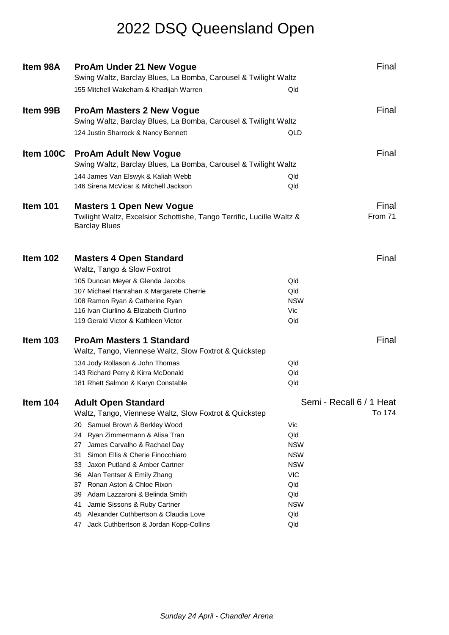| Item 98A        | <b>ProAm Under 21 New Vogue</b>                                                               | Final                    |
|-----------------|-----------------------------------------------------------------------------------------------|--------------------------|
|                 | Swing Waltz, Barclay Blues, La Bomba, Carousel & Twilight Waltz                               |                          |
|                 | 155 Mitchell Wakeham & Khadijah Warren                                                        | Qld                      |
| Item 99B        | <b>ProAm Masters 2 New Vogue</b>                                                              | Final                    |
|                 | Swing Waltz, Barclay Blues, La Bomba, Carousel & Twilight Waltz                               |                          |
|                 | 124 Justin Sharrock & Nancy Bennett                                                           | QLD                      |
| Item 100C       | <b>ProAm Adult New Vogue</b>                                                                  | Final                    |
|                 | Swing Waltz, Barclay Blues, La Bomba, Carousel & Twilight Waltz                               |                          |
|                 | 144 James Van Elswyk & Kaliah Webb                                                            | Qld                      |
|                 | 146 Sirena McVicar & Mitchell Jackson                                                         | Qld                      |
| Item 101        | <b>Masters 1 Open New Vogue</b>                                                               | Final                    |
|                 | Twilight Waltz, Excelsior Schottishe, Tango Terrific, Lucille Waltz &<br><b>Barclay Blues</b> | From 71                  |
|                 |                                                                                               |                          |
| Item 102        | <b>Masters 4 Open Standard</b><br>Waltz, Tango & Slow Foxtrot                                 | Final                    |
|                 | 105 Duncan Meyer & Glenda Jacobs                                                              | Qld                      |
|                 | 107 Michael Hanrahan & Margarete Cherrie                                                      | Qld                      |
|                 | 108 Ramon Ryan & Catherine Ryan                                                               | <b>NSW</b>               |
|                 | 116 Ivan Ciurlino & Elizabeth Ciurlino                                                        | Vic                      |
|                 | 119 Gerald Victor & Kathleen Victor                                                           | Qld                      |
| <b>Item 103</b> | <b>ProAm Masters 1 Standard</b>                                                               | Final                    |
|                 | Waltz, Tango, Viennese Waltz, Slow Foxtrot & Quickstep                                        |                          |
|                 | 134 Jody Rollason & John Thomas                                                               | Qld                      |
|                 | 143 Richard Perry & Kirra McDonald                                                            | Qld                      |
|                 | 181 Rhett Salmon & Karyn Constable                                                            | Qld                      |
| Item 104        | <b>Adult Open Standard</b>                                                                    | Semi - Recall 6 / 1 Heat |
|                 | Waltz, Tango, Viennese Waltz, Slow Foxtrot & Quickstep                                        | To 174                   |
|                 | Samuel Brown & Berkley Wood<br>20                                                             | Vic                      |
|                 | Ryan Zimmermann & Alisa Tran<br>24                                                            | Qld                      |
|                 | James Carvalho & Rachael Day<br>27                                                            | <b>NSW</b>               |
|                 | Simon Ellis & Cherie Finocchiaro<br>31.                                                       | <b>NSW</b>               |
|                 | Jaxon Putland & Amber Cartner<br>33                                                           | <b>NSW</b>               |
|                 | Alan Tentser & Emily Zhang<br>36                                                              | <b>VIC</b>               |
|                 | 37 Ronan Aston & Chloe Rixon<br>Adam Lazzaroni & Belinda Smith<br>39                          | Qld<br>Qld               |
|                 | Jamie Sissons & Ruby Cartner<br>41                                                            | <b>NSW</b>               |
|                 | Alexander Cuthbertson & Claudia Love<br>45                                                    | Qld                      |
|                 | Jack Cuthbertson & Jordan Kopp-Collins<br>47                                                  | Qld                      |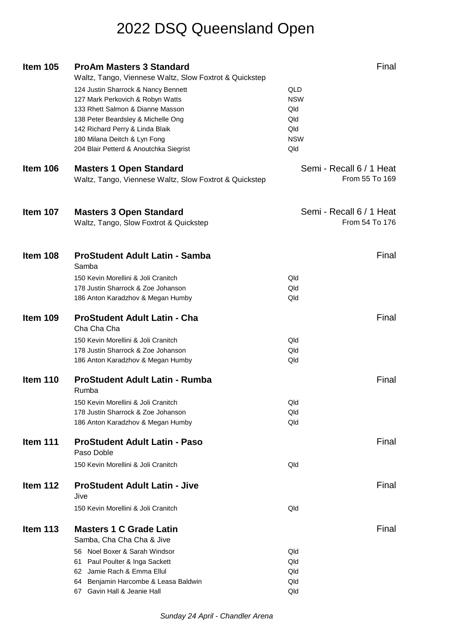| <b>Item 105</b> | <b>ProAm Masters 3 Standard</b><br>Waltz, Tango, Viennese Waltz, Slow Foxtrot & Quickstep | Final                                      |  |
|-----------------|-------------------------------------------------------------------------------------------|--------------------------------------------|--|
|                 | 124 Justin Sharrock & Nancy Bennett<br>127 Mark Perkovich & Robyn Watts                   | QLD<br><b>NSW</b>                          |  |
|                 | 133 Rhett Salmon & Dianne Masson                                                          | Qld                                        |  |
|                 | 138 Peter Beardsley & Michelle Ong                                                        | Qld                                        |  |
|                 | 142 Richard Perry & Linda Blaik                                                           | Qld                                        |  |
|                 | 180 Milana Deitch & Lyn Fong                                                              | <b>NSW</b>                                 |  |
|                 | 204 Blair Petterd & Anoutchka Siegrist                                                    | Qld                                        |  |
| <b>Item 106</b> | <b>Masters 1 Open Standard</b><br>Waltz, Tango, Viennese Waltz, Slow Foxtrot & Quickstep  | Semi - Recall 6 / 1 Heat<br>From 55 To 169 |  |
| <b>Item 107</b> | <b>Masters 3 Open Standard</b><br>Waltz, Tango, Slow Foxtrot & Quickstep                  | Semi - Recall 6 / 1 Heat<br>From 54 To 176 |  |
| Item 108        | <b>ProStudent Adult Latin - Samba</b><br>Samba                                            | Final                                      |  |
|                 | 150 Kevin Morellini & Joli Cranitch                                                       | Qld                                        |  |
|                 | 178 Justin Sharrock & Zoe Johanson                                                        | Qld                                        |  |
|                 | 186 Anton Karadzhov & Megan Humby                                                         | Qld                                        |  |
| Item 109        | <b>ProStudent Adult Latin - Cha</b><br>Cha Cha Cha                                        | Final                                      |  |
|                 | 150 Kevin Morellini & Joli Cranitch                                                       | Qld                                        |  |
|                 | 178 Justin Sharrock & Zoe Johanson                                                        | Qld                                        |  |
|                 | 186 Anton Karadzhov & Megan Humby                                                         | Qld                                        |  |
| Item 110        | <b>ProStudent Adult Latin - Rumba</b><br>Rumba                                            | Final                                      |  |
|                 | 150 Kevin Morellini & Joli Cranitch                                                       | Qld                                        |  |
|                 | 178 Justin Sharrock & Zoe Johanson                                                        | Qld                                        |  |
|                 | 186 Anton Karadzhov & Megan Humby                                                         | Qld                                        |  |
| Item 111        | <b>ProStudent Adult Latin - Paso</b><br>Paso Doble                                        | Final                                      |  |
|                 | 150 Kevin Morellini & Joli Cranitch                                                       | Qld                                        |  |
| Item 112        | <b>ProStudent Adult Latin - Jive</b><br>Jive                                              | Final                                      |  |
|                 | 150 Kevin Morellini & Joli Cranitch                                                       | Qld                                        |  |
| Item $113$      | <b>Masters 1 C Grade Latin</b><br>Samba, Cha Cha Cha & Jive                               | Final                                      |  |
|                 | 56 Noel Boxer & Sarah Windsor                                                             | Qld                                        |  |
|                 | 61 Paul Poulter & Inga Sackett                                                            | Qld                                        |  |
|                 | 62 Jamie Rach & Emma Ellul                                                                | Qld                                        |  |
|                 | 64 Benjamin Harcombe & Leasa Baldwin                                                      | Qld                                        |  |
|                 | 67 Gavin Hall & Jeanie Hall                                                               | Qld                                        |  |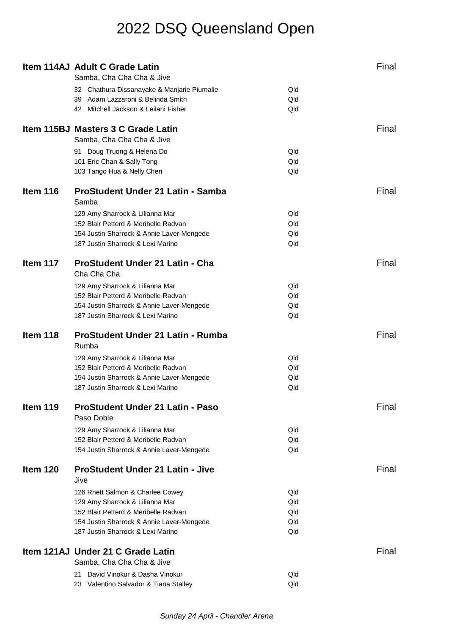|                 | Item 114AJ Adult C Grade Latin                                                 |            | Final |
|-----------------|--------------------------------------------------------------------------------|------------|-------|
|                 | Samba, Cha Cha Cha & Jive                                                      |            |       |
|                 | 32 Chathura Dissanayake & Manjarie Piumalie                                    | Qld        |       |
|                 | 39 Adam Lazzaroni & Belinda Smith                                              | Qld        |       |
|                 | 42 Mitchell Jackson & Leilani Fisher                                           | Qld        |       |
|                 |                                                                                |            | Final |
|                 | Item 115BJ Masters 3 C Grade Latin                                             |            |       |
|                 | Samba, Cha Cha Cha & Jive                                                      |            |       |
|                 | 91 Doug Truong & Helena Do                                                     | Qld        |       |
|                 | 101 Eric Chan & Sally Tong                                                     | Qld        |       |
|                 | 103 Tango Hua & Nelly Chen                                                     | Qld        |       |
| <b>Item 116</b> | ProStudent Under 21 Latin - Samba                                              |            | Final |
|                 | Samba                                                                          |            |       |
|                 | 129 Amy Sharrock & Lilianna Mar                                                | Qld        |       |
|                 | 152 Blair Petterd & Meribelle Radvan                                           | Qld        |       |
|                 | 154 Justin Sharrock & Annie Laver-Mengede                                      | Qld        |       |
|                 | 187 Justin Sharrock & Lexi Marino                                              | Qld        |       |
|                 |                                                                                |            |       |
| Item 117        | <b>ProStudent Under 21 Latin - Cha</b>                                         |            | Final |
|                 | Cha Cha Cha                                                                    |            |       |
|                 | 129 Amy Sharrock & Lilianna Mar                                                | Qld        |       |
|                 | 152 Blair Petterd & Meribelle Radvan                                           | Qld        |       |
|                 | 154 Justin Sharrock & Annie Laver-Mengede                                      | Qld        |       |
|                 | 187 Justin Sharrock & Lexi Marino                                              | Qld        |       |
|                 |                                                                                |            |       |
|                 |                                                                                |            | Final |
| Item 118        | <b>ProStudent Under 21 Latin - Rumba</b><br>Rumba                              |            |       |
|                 |                                                                                | Qld        |       |
|                 | 129 Amy Sharrock & Lilianna Mar                                                |            |       |
|                 | 152 Blair Petterd & Meribelle Radvan                                           | Qld<br>Qld |       |
|                 | 154 Justin Sharrock & Annie Laver-Mengede<br>187 Justin Sharrock & Lexi Marino | Qld        |       |
|                 |                                                                                |            |       |
| Item 119        | <b>ProStudent Under 21 Latin - Paso</b>                                        |            | Final |
|                 | Paso Doble                                                                     |            |       |
|                 | 129 Amy Sharrock & Lilianna Mar                                                | Qld        |       |
|                 | 152 Blair Petterd & Meribelle Radvan                                           | Qld        |       |
|                 | 154 Justin Sharrock & Annie Laver-Mengede                                      | Qld        |       |
|                 |                                                                                |            |       |
| Item 120        | <b>ProStudent Under 21 Latin - Jive</b>                                        |            | Final |
|                 | Jive                                                                           |            |       |
|                 | 126 Rhett Salmon & Charlee Cowey                                               | Qld        |       |
|                 | 129 Amy Sharrock & Lilianna Mar                                                | Qld        |       |
|                 | 152 Blair Petterd & Meribelle Radvan                                           | Qld        |       |
|                 | 154 Justin Sharrock & Annie Laver-Mengede                                      | Qld        |       |
|                 | 187 Justin Sharrock & Lexi Marino                                              | Qld        |       |
|                 | Item 121AJ Under 21 C Grade Latin                                              |            | Final |
|                 | Samba, Cha Cha Cha & Jive                                                      |            |       |
|                 | David Vinokur & Dasha Vinokur<br>21                                            | Qld        |       |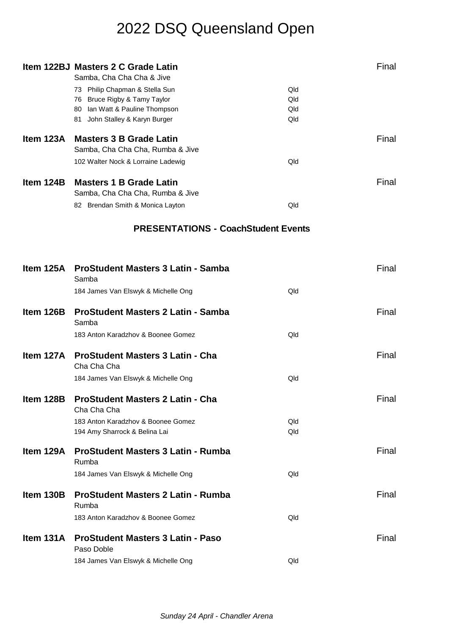|           | Item 122BJ Masters 2 C Grade Latin                                 |            | Final |
|-----------|--------------------------------------------------------------------|------------|-------|
|           | Samba, Cha Cha Cha & Jive                                          |            |       |
|           | 73 Philip Chapman & Stella Sun<br>76 Bruce Rigby & Tamy Taylor     | Qld<br>Qld |       |
|           | 80 Ian Watt & Pauline Thompson                                     | Qld        |       |
|           | 81 John Stalley & Karyn Burger                                     | Qld        |       |
|           |                                                                    |            |       |
| Item 123A | <b>Masters 3 B Grade Latin</b><br>Samba, Cha Cha Cha, Rumba & Jive |            | Final |
|           |                                                                    | Qld        |       |
|           | 102 Walter Nock & Lorraine Ladewig                                 |            |       |
| Item 124B | <b>Masters 1 B Grade Latin</b><br>Samba, Cha Cha Cha, Rumba & Jive |            | Final |
|           | 82 Brendan Smith & Monica Layton                                   | Qld        |       |
|           |                                                                    |            |       |
|           | <b>PRESENTATIONS - CoachStudent Events</b>                         |            |       |
|           |                                                                    |            |       |
|           |                                                                    |            |       |
|           | Item 125A ProStudent Masters 3 Latin - Samba<br>Samba              |            | Final |
|           | 184 James Van Elswyk & Michelle Ong                                | Qld        |       |
| Item 126B | <b>ProStudent Masters 2 Latin - Samba</b>                          |            | Final |
|           | Samba                                                              |            |       |
|           | 183 Anton Karadzhov & Boonee Gomez                                 | Qld        |       |
|           |                                                                    |            |       |
|           | Item 127A ProStudent Masters 3 Latin - Cha<br>Cha Cha Cha          |            | Final |
|           | 184 James Van Elswyk & Michelle Ong                                | Qld        |       |
| Item 128B | <b>ProStudent Masters 2 Latin - Cha</b><br>Cha Cha Cha             |            | Final |
|           | 183 Anton Karadzhov & Boonee Gomez                                 | Qld        |       |
|           | 194 Amy Sharrock & Belina Lai                                      | Qld        |       |
|           | Item 129A ProStudent Masters 3 Latin - Rumba                       |            | Final |
|           | Rumba                                                              |            |       |
|           | 184 James Van Elswyk & Michelle Ong                                | Qld        |       |
| Item 130B | <b>ProStudent Masters 2 Latin - Rumba</b><br>Rumba                 |            | Final |
|           | 183 Anton Karadzhov & Boonee Gomez                                 | Qld        |       |
| Item 131A | <b>ProStudent Masters 3 Latin - Paso</b><br>Paso Doble             |            | Final |
|           | 184 James Van Elswyk & Michelle Ong                                | Qld        |       |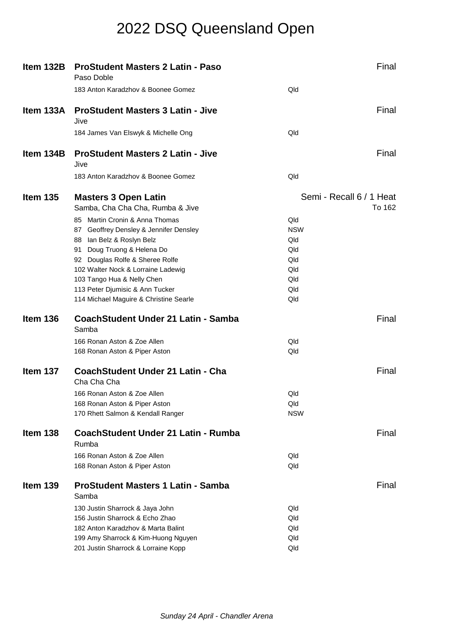| Item 132B       | <b>ProStudent Masters 2 Latin - Paso</b><br>Paso Doble          | Final                              |  |
|-----------------|-----------------------------------------------------------------|------------------------------------|--|
|                 | 183 Anton Karadzhov & Boonee Gomez                              | Qld                                |  |
| Item 133A       | <b>ProStudent Masters 3 Latin - Jive</b><br>Jive                | Final                              |  |
|                 | 184 James Van Elswyk & Michelle Ong                             | Qld                                |  |
| Item 134B       | <b>ProStudent Masters 2 Latin - Jive</b><br>Jive                | Final                              |  |
|                 | 183 Anton Karadzhov & Boonee Gomez                              | Qld                                |  |
| <b>Item 135</b> | <b>Masters 3 Open Latin</b><br>Samba, Cha Cha Cha, Rumba & Jive | Semi - Recall 6 / 1 Heat<br>To 162 |  |
|                 | 85 Martin Cronin & Anna Thomas                                  | Qld                                |  |
|                 | 87 Geoffrey Densley & Jennifer Densley                          | <b>NSW</b>                         |  |
|                 | 88 Ian Belz & Roslyn Belz                                       | Qld                                |  |
|                 | 91 Doug Truong & Helena Do                                      | Qld                                |  |
|                 | 92 Douglas Rolfe & Sheree Rolfe                                 | Qld                                |  |
|                 | 102 Walter Nock & Lorraine Ladewig                              | Qld                                |  |
|                 | 103 Tango Hua & Nelly Chen                                      | Qld                                |  |
|                 | 113 Peter Djumisic & Ann Tucker                                 | Qld                                |  |
|                 | 114 Michael Maguire & Christine Searle                          | Qld                                |  |
| Item 136        | CoachStudent Under 21 Latin - Samba<br>Samba                    | Final                              |  |
|                 | 166 Ronan Aston & Zoe Allen                                     | Qld                                |  |
|                 | 168 Ronan Aston & Piper Aston                                   | Qld                                |  |
| Item 137        | <b>CoachStudent Under 21 Latin - Cha</b><br>Cha Cha Cha         | Final                              |  |
|                 | 166 Ronan Aston & Zoe Allen                                     | Qld                                |  |
|                 | 168 Ronan Aston & Piper Aston                                   | Qld                                |  |
|                 | 170 Rhett Salmon & Kendall Ranger                               | <b>NSW</b>                         |  |
| Item 138        | <b>CoachStudent Under 21 Latin - Rumba</b><br>Rumba             | Final                              |  |
|                 | 166 Ronan Aston & Zoe Allen                                     | Qld                                |  |
|                 | 168 Ronan Aston & Piper Aston                                   | Qld                                |  |
| Item 139        | <b>ProStudent Masters 1 Latin - Samba</b><br>Samba              | Final                              |  |
|                 | 130 Justin Sharrock & Jaya John                                 | Qld                                |  |
|                 | 156 Justin Sharrock & Echo Zhao                                 | Qld                                |  |
|                 | 182 Anton Karadzhov & Marta Balint                              | Qld                                |  |
|                 | 199 Amy Sharrock & Kim-Huong Nguyen                             | Qld                                |  |
|                 | 201 Justin Sharrock & Lorraine Kopp                             | Qld                                |  |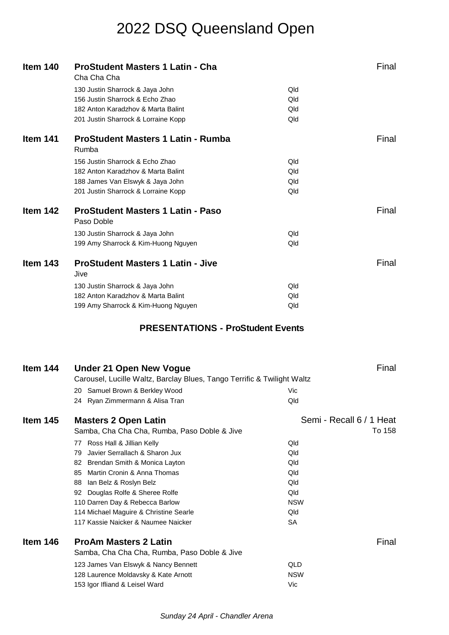| Item 140        | <b>ProStudent Masters 1 Latin - Cha</b><br>Cha Cha Cha                  | Final                    |  |
|-----------------|-------------------------------------------------------------------------|--------------------------|--|
|                 | 130 Justin Sharrock & Jaya John                                         | Qld                      |  |
|                 | 156 Justin Sharrock & Echo Zhao                                         | Qld                      |  |
|                 | 182 Anton Karadzhov & Marta Balint                                      | Qld                      |  |
|                 | 201 Justin Sharrock & Lorraine Kopp                                     | Qld                      |  |
|                 |                                                                         |                          |  |
| Item 141        | <b>ProStudent Masters 1 Latin - Rumba</b><br>Rumba                      | Final                    |  |
|                 | 156 Justin Sharrock & Echo Zhao                                         | Qld                      |  |
|                 | 182 Anton Karadzhov & Marta Balint                                      | Qld                      |  |
|                 | 188 James Van Elswyk & Jaya John                                        | Qld                      |  |
|                 | 201 Justin Sharrock & Lorraine Kopp                                     | Qld                      |  |
|                 |                                                                         |                          |  |
| Item 142        | <b>ProStudent Masters 1 Latin - Paso</b><br>Paso Doble                  | Final                    |  |
|                 | 130 Justin Sharrock & Jaya John                                         | Qld                      |  |
|                 | 199 Amy Sharrock & Kim-Huong Nguyen                                     | Qld                      |  |
|                 |                                                                         |                          |  |
| <b>Item 143</b> | <b>ProStudent Masters 1 Latin - Jive</b><br>Jive                        | Final                    |  |
|                 | 130 Justin Sharrock & Jaya John                                         | Qld                      |  |
|                 | 182 Anton Karadzhov & Marta Balint                                      | Qld                      |  |
|                 | 199 Amy Sharrock & Kim-Huong Nguyen                                     | Qld                      |  |
|                 |                                                                         |                          |  |
|                 |                                                                         |                          |  |
|                 | <b>PRESENTATIONS - ProStudent Events</b>                                |                          |  |
|                 |                                                                         |                          |  |
| Item 144        | <b>Under 21 Open New Vogue</b>                                          | Final                    |  |
|                 | Carousel, Lucille Waltz, Barclay Blues, Tango Terrific & Twilight Waltz |                          |  |
|                 |                                                                         | Vic                      |  |
|                 | 20 Samuel Brown & Berkley Wood<br>24 Ryan Zimmermann & Alisa Tran       | Qld                      |  |
|                 |                                                                         |                          |  |
| Item 145        | <b>Masters 2 Open Latin</b>                                             | Semi - Recall 6 / 1 Heat |  |
|                 | Samba, Cha Cha Cha, Rumba, Paso Doble & Jive                            | To 158                   |  |
|                 | Ross Hall & Jillian Kelly<br>77                                         | Qld                      |  |
|                 | Javier Serrallach & Sharon Jux<br>79                                    | Qld                      |  |
|                 | Brendan Smith & Monica Layton<br>82 -                                   | Qld                      |  |
|                 | 85 Martin Cronin & Anna Thomas                                          | Qld                      |  |
|                 | 88 Ian Belz & Roslyn Belz                                               | Qld                      |  |
|                 | 92 Douglas Rolfe & Sheree Rolfe                                         | Qld                      |  |
|                 | 110 Darren Day & Rebecca Barlow                                         | <b>NSW</b>               |  |
|                 | 114 Michael Maguire & Christine Searle                                  | Qld                      |  |
|                 | 117 Kassie Naicker & Naumee Naicker                                     | <b>SA</b>                |  |
|                 |                                                                         |                          |  |
| Item 146        | <b>ProAm Masters 2 Latin</b>                                            | Final                    |  |
|                 | Samba, Cha Cha Cha, Rumba, Paso Doble & Jive                            |                          |  |
|                 | 123 James Van Elswyk & Nancy Bennett                                    | QLD                      |  |

Vic

153 Igor Ifliand & Leisel Ward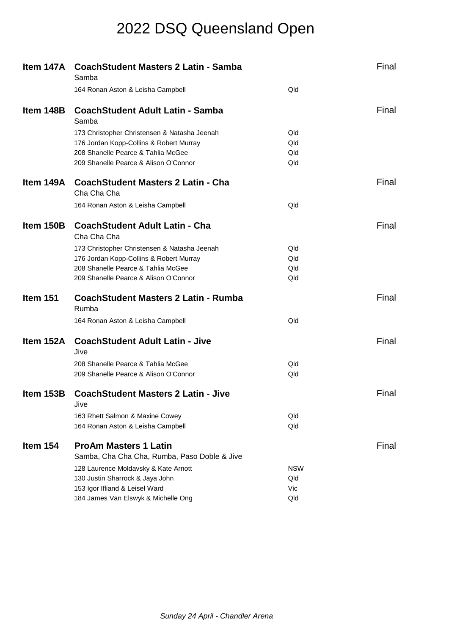|           | Item 147A CoachStudent Masters 2 Latin - Samba<br>Samba  |            | Final |
|-----------|----------------------------------------------------------|------------|-------|
|           | 164 Ronan Aston & Leisha Campbell                        | Qld        |       |
| Item 148B | <b>CoachStudent Adult Latin - Samba</b><br>Samba         |            | Final |
|           | 173 Christopher Christensen & Natasha Jeenah             | Qld        |       |
|           | 176 Jordan Kopp-Collins & Robert Murray                  | Qld        |       |
|           | 208 Shanelle Pearce & Tahlia McGee                       | Qld        |       |
|           | 209 Shanelle Pearce & Alison O'Connor                    | Qld        |       |
| ltem 149A | <b>CoachStudent Masters 2 Latin - Cha</b><br>Cha Cha Cha |            | Final |
|           | 164 Ronan Aston & Leisha Campbell                        | Qld        |       |
| Item 150B | <b>CoachStudent Adult Latin - Cha</b><br>Cha Cha Cha     |            | Final |
|           | 173 Christopher Christensen & Natasha Jeenah             | Qld        |       |
|           | 176 Jordan Kopp-Collins & Robert Murray                  | Qld        |       |
|           | 208 Shanelle Pearce & Tahlia McGee                       | Qld        |       |
|           | 209 Shanelle Pearce & Alison O'Connor                    | Qld        |       |
| Item 151  | <b>CoachStudent Masters 2 Latin - Rumba</b><br>Rumba     |            | Final |
|           | 164 Ronan Aston & Leisha Campbell                        | Qld        |       |
| Item 152A | <b>CoachStudent Adult Latin - Jive</b><br>Jive           |            | Final |
|           | 208 Shanelle Pearce & Tahlia McGee                       | Qld        |       |
|           | 209 Shanelle Pearce & Alison O'Connor                    | Qld        |       |
| Item 153B | <b>CoachStudent Masters 2 Latin - Jive</b><br>Jive       |            | Final |
|           | 163 Rhett Salmon & Maxine Cowey                          | Qld        |       |
|           | 164 Ronan Aston & Leisha Campbell                        | Qld        |       |
| Item 154  | <b>ProAm Masters 1 Latin</b>                             |            | Final |
|           | Samba, Cha Cha Cha, Rumba, Paso Doble & Jive             |            |       |
|           | 128 Laurence Moldavsky & Kate Arnott                     | <b>NSW</b> |       |
|           | 130 Justin Sharrock & Jaya John                          | Qld        |       |
|           | 153 Igor Ifliand & Leisel Ward                           | Vic        |       |
|           | 184 James Van Elswyk & Michelle Ong                      | Qld        |       |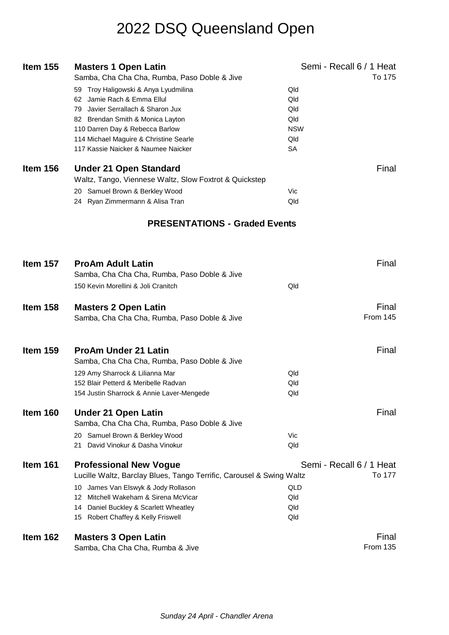| <b>Item 155</b> | <b>Masters 1 Open Latin</b>                                          | Semi - Recall 6 / 1 Heat |
|-----------------|----------------------------------------------------------------------|--------------------------|
|                 | Samba, Cha Cha Cha, Rumba, Paso Doble & Jive                         | To 175                   |
|                 | 59 Troy Haligowski & Anya Lyudmilina                                 | Qld                      |
|                 | 62 Jamie Rach & Emma Ellul                                           | Qld                      |
|                 | 79 Javier Serrallach & Sharon Jux                                    | Qld                      |
|                 | 82 Brendan Smith & Monica Layton                                     | Qld                      |
|                 |                                                                      | <b>NSW</b>               |
|                 | 110 Darren Day & Rebecca Barlow                                      |                          |
|                 | 114 Michael Maguire & Christine Searle                               | Qld                      |
|                 | 117 Kassie Naicker & Naumee Naicker                                  | <b>SA</b>                |
| Item 156        | <b>Under 21 Open Standard</b>                                        | Final                    |
|                 | Waltz, Tango, Viennese Waltz, Slow Foxtrot & Quickstep               |                          |
|                 | 20 Samuel Brown & Berkley Wood                                       | Vic                      |
|                 | 24 Ryan Zimmermann & Alisa Tran                                      | Qld                      |
|                 | <b>PRESENTATIONS - Graded Events</b>                                 |                          |
|                 |                                                                      |                          |
| <b>Item 157</b> | <b>ProAm Adult Latin</b>                                             | Final                    |
|                 | Samba, Cha Cha Cha, Rumba, Paso Doble & Jive                         |                          |
|                 |                                                                      |                          |
|                 | 150 Kevin Morellini & Joli Cranitch                                  | Qld                      |
| Item 158        | <b>Masters 2 Open Latin</b>                                          | Final                    |
|                 | Samba, Cha Cha Cha, Rumba, Paso Doble & Jive                         | From 145                 |
|                 |                                                                      |                          |
| <b>Item 159</b> | <b>ProAm Under 21 Latin</b>                                          | Final                    |
|                 |                                                                      |                          |
|                 | Samba, Cha Cha Cha, Rumba, Paso Doble & Jive                         |                          |
|                 | 129 Amy Sharrock & Lilianna Mar                                      | Qld                      |
|                 | 152 Blair Petterd & Meribelle Radvan                                 | Qld                      |
|                 | 154 Justin Sharrock & Annie Laver-Mengede                            | Qld                      |
| Item 160        | <b>Under 21 Open Latin</b>                                           | Final                    |
|                 | Samba, Cha Cha Cha, Rumba, Paso Doble & Jive                         |                          |
|                 | 20 Samuel Brown & Berkley Wood                                       | Vic                      |
|                 | David Vinokur & Dasha Vinokur<br>21                                  | Qld                      |
| Item 161        | <b>Professional New Vogue</b>                                        | Semi - Recall 6 / 1 Heat |
|                 | Lucille Waltz, Barclay Blues, Tango Terrific, Carousel & Swing Waltz | To 177                   |
|                 | 10 James Van Elswyk & Jody Rollason                                  | QLD                      |
|                 | Mitchell Wakeham & Sirena McVicar<br>12                              | Qld                      |
|                 | Daniel Buckley & Scarlett Wheatley<br>14                             | Qld                      |
|                 | 15 Robert Chaffey & Kelly Friswell                                   | Qld                      |
|                 |                                                                      |                          |
| Item 162        | <b>Masters 3 Open Latin</b>                                          | Final                    |
|                 | Samba, Cha Cha Cha, Rumba & Jive                                     | From 135                 |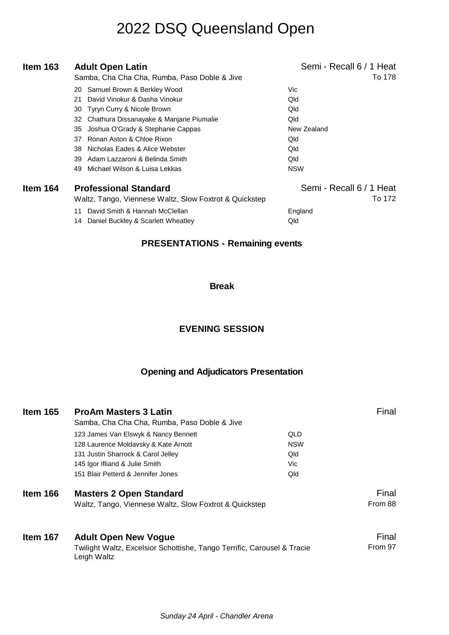| Item 163 | <b>Adult Open Latin</b><br>Samba, Cha Cha Cha, Rumba, Paso Doble & Jive                                                                                                                           | Semi - Recall 6 / 1 Heat<br>To 178                   |
|----------|---------------------------------------------------------------------------------------------------------------------------------------------------------------------------------------------------|------------------------------------------------------|
|          | Samuel Brown & Berkley Wood<br>20<br>David Vinokur & Dasha Vinokur<br>21<br>Tyryn Curry & Nicole Brown<br>30<br>Chathura Dissanayake & Manjarie Piumalie<br>32                                    | Vic<br>Qld<br>Qld<br>Qld                             |
|          | Joshua O'Grady & Stephanie Cappas<br>35<br>Ronan Aston & Chloe Rixon<br>37<br>Nicholas Eades & Alice Webster<br>38<br>Adam Lazzaroni & Belinda Smith<br>39<br>Michael Wilson & Luisa Lekkas<br>49 | New Zealand<br>Qld<br>Qld<br>Qld<br><b>NSW</b>       |
| Item 164 | <b>Professional Standard</b><br>Waltz, Tango, Viennese Waltz, Slow Foxtrot & Quickstep<br>David Smith & Hannah McClellan<br>11<br>Daniel Buckley & Scarlett Wheatley<br>14                        | Semi - Recall 6 / 1 Heat<br>To 172<br>England<br>Qld |

#### **PRESENTATIONS - Remaining events**

#### **Break**

#### **EVENING SESSION**

#### **Opening and Adjudicators Presentation**

| Item 165 | <b>ProAm Masters 3 Latin</b><br>Samba, Cha Cha Cha, Rumba, Paso Doble & Jive           |            | Final   |
|----------|----------------------------------------------------------------------------------------|------------|---------|
|          | 123 James Van Elswyk & Nancy Bennett                                                   | QLD        |         |
|          | 128 Laurence Moldavsky & Kate Arnott                                                   | <b>NSW</b> |         |
|          | 131 Justin Sharrock & Carol Jelley                                                     | Qld        |         |
|          | 145 Igor Ifliand & Julie Smith                                                         | Vic.       |         |
|          | 151 Blair Petterd & Jennifer Jones                                                     | Qld        |         |
| Item 166 | <b>Masters 2 Open Standard</b>                                                         |            | Final   |
|          | Waltz, Tango, Viennese Waltz, Slow Foxtrot & Quickstep                                 |            | From 88 |
| Item 167 | <b>Adult Open New Vogue</b>                                                            |            | Final   |
|          | Twilight Waltz, Excelsior Schottishe, Tango Terrific, Carousel & Tracie<br>Leigh Waltz |            | From 97 |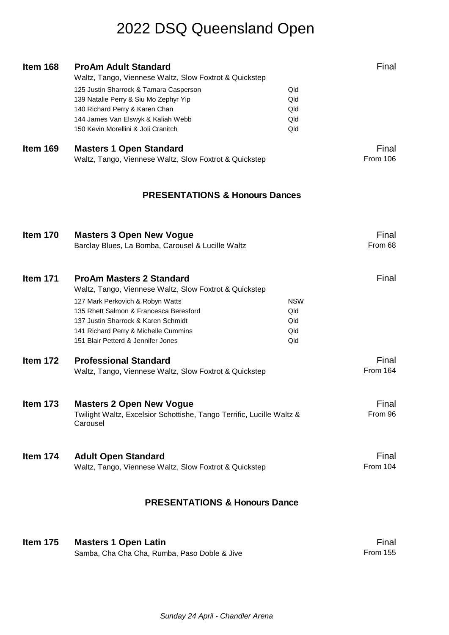| Item 168        | <b>ProAm Adult Standard</b><br>Waltz, Tango, Viennese Waltz, Slow Foxtrot & Quickstep<br>125 Justin Sharrock & Tamara Casperson<br>139 Natalie Perry & Siu Mo Zephyr Yip<br>140 Richard Perry & Karen Chan<br>144 James Van Elswyk & Kaliah Webb<br>150 Kevin Morellini & Joli Cranitch      | Qld<br>Qld<br>Qld<br>Qld<br>Qld        | Final                    |
|-----------------|----------------------------------------------------------------------------------------------------------------------------------------------------------------------------------------------------------------------------------------------------------------------------------------------|----------------------------------------|--------------------------|
| Item 169        | <b>Masters 1 Open Standard</b><br>Waltz, Tango, Viennese Waltz, Slow Foxtrot & Quickstep                                                                                                                                                                                                     |                                        | Final<br><b>From 106</b> |
|                 | <b>PRESENTATIONS &amp; Honours Dances</b>                                                                                                                                                                                                                                                    |                                        |                          |
| <b>Item 170</b> | <b>Masters 3 Open New Vogue</b><br>Barclay Blues, La Bomba, Carousel & Lucille Waltz                                                                                                                                                                                                         |                                        | Final<br>From 68         |
| <b>Item 171</b> | <b>ProAm Masters 2 Standard</b><br>Waltz, Tango, Viennese Waltz, Slow Foxtrot & Quickstep<br>127 Mark Perkovich & Robyn Watts<br>135 Rhett Salmon & Francesca Beresford<br>137 Justin Sharrock & Karen Schmidt<br>141 Richard Perry & Michelle Cummins<br>151 Blair Petterd & Jennifer Jones | <b>NSW</b><br>Qld<br>Qld<br>Qld<br>Qld | Final                    |
| Item 172        | <b>Professional Standard</b><br>Waltz, Tango, Viennese Waltz, Slow Foxtrot & Quickstep                                                                                                                                                                                                       |                                        | Final<br>From 164        |
| Item 173        | <b>Masters 2 Open New Vogue</b><br>Twilight Waltz, Excelsior Schottishe, Tango Terrific, Lucille Waltz &<br>Carousel                                                                                                                                                                         |                                        | Final<br>From 96         |
| Item 174        | <b>Adult Open Standard</b><br>Waltz, Tango, Viennese Waltz, Slow Foxtrot & Quickstep                                                                                                                                                                                                         |                                        | Final<br>From 104        |

#### **PRESENTATIONS & Honours Dance**

| <b>Item 175</b> | <b>Masters 1 Open Latin</b>                  | Final    |
|-----------------|----------------------------------------------|----------|
|                 | Samba, Cha Cha Cha, Rumba, Paso Doble & Jive | From 155 |